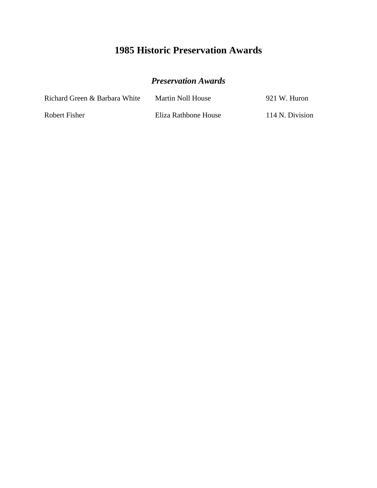### *Preservation Awards*

| Richard Green & Barbara White | Martin Noll House    | 921 W. Huron    |
|-------------------------------|----------------------|-----------------|
| Robert Fisher                 | Eliza Rathbone House | 114 N. Division |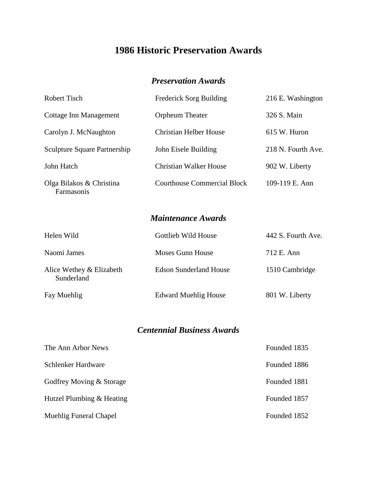#### *Preservation Awards*

| Robert Tisch                           | <b>Frederick Sorg Building</b> | 216 E. Washington  |
|----------------------------------------|--------------------------------|--------------------|
| Cottage Inn Management                 | Orpheum Theater                | 326 S. Main        |
| Carolyn J. McNaughton                  | Christian Helber House         | 615 W. Huron       |
| <b>Sculpture Square Partnership</b>    | John Eisele Building           | 218 N. Fourth Ave. |
| John Hatch                             | Christian Walker House         | 902 W. Liberty     |
| Olga Bilakos & Christina<br>Farmasonis | Courthouse Commercial Block    | 109-119 E. Ann     |

*Maintenance Awards*

| Helen Wild                             | Gottlieb Wild House           | 442 S. Fourth Ave. |
|----------------------------------------|-------------------------------|--------------------|
| Naomi James                            | Moses Gunn House              | 712 E. Ann         |
| Alice Wethey & Elizabeth<br>Sunderland | <b>Edson Sunderland House</b> | 1510 Cambridge     |
| Fay Muehlig                            | <b>Edward Muehlig House</b>   | 801 W. Liberty     |

### *Centennial Business Awards*

| The Ann Arbor News        | Founded 1835 |
|---------------------------|--------------|
| Schlenker Hardware        | Founded 1886 |
| Godfrey Moving & Storage  | Founded 1881 |
| Hutzel Plumbing & Heating | Founded 1857 |
| Muehlig Funeral Chapel    | Founded 1852 |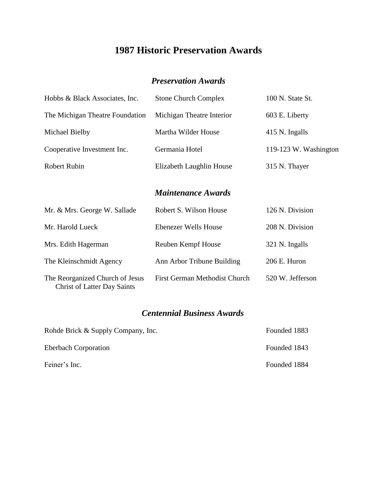#### *Preservation Awards*

| Hobbs & Black Associates, Inc.                                        | <b>Stone Church Complex</b>   | 100 N. State St.      |
|-----------------------------------------------------------------------|-------------------------------|-----------------------|
| The Michigan Theatre Foundation                                       | Michigan Theatre Interior     | 603 E. Liberty        |
| Michael Bielby                                                        | Martha Wilder House           | 415 N. Ingalls        |
| Cooperative Investment Inc.                                           | Germania Hotel                | 119-123 W. Washington |
| <b>Robert Rubin</b>                                                   | Elizabeth Laughlin House      | 315 N. Thayer         |
|                                                                       | <b>Maintenance Awards</b>     |                       |
| Mr. & Mrs. George W. Sallade                                          | Robert S. Wilson House        | 126 N. Division       |
| Mr. Harold Lueck                                                      | Ebenezer Wells House          | 208 N. Division       |
| Mrs. Edith Hagerman                                                   | Reuben Kempf House            | 321 N. Ingalls        |
| The Kleinschmidt Agency                                               | Ann Arbor Tribune Building    | 206 E. Huron          |
| The Reorganized Church of Jesus<br><b>Christ of Latter Day Saints</b> | First German Methodist Church | 520 W. Jefferson      |

#### *Centennial Business Awards*

| Rohde Brick & Supply Company, Inc. | Founded 1883 |
|------------------------------------|--------------|
| <b>Eberbach Corporation</b>        | Founded 1843 |
| Feiner's Inc.                      | Founded 1884 |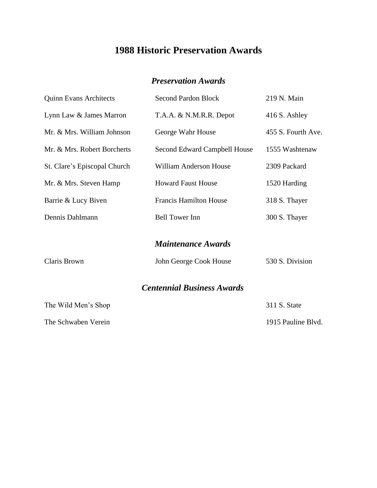#### *Preservation Awards*

| <b>Quinn Evans Architects</b> | <b>Second Pardon Block</b>        | 219 N. Main        |
|-------------------------------|-----------------------------------|--------------------|
| Lynn Law & James Marron       | T.A.A. & N.M.R.R. Depot           | 416 S. Ashley      |
| Mr. & Mrs. William Johnson    | George Wahr House                 | 455 S. Fourth Ave. |
| Mr. & Mrs. Robert Borcherts   | Second Edward Campbell House      | 1555 Washtenaw     |
| St. Clare's Episcopal Church  | William Anderson House            | 2309 Packard       |
| Mr. & Mrs. Steven Hamp        | <b>Howard Faust House</b>         | 1520 Harding       |
| Barrie & Lucy Biven           | <b>Francis Hamilton House</b>     | 318 S. Thayer      |
| Dennis Dahlmann               | <b>Bell Tower Inn</b>             | 300 S. Thayer      |
|                               | <b>Maintenance Awards</b>         |                    |
| Claris Brown                  | John George Cook House            | 530 S. Division    |
|                               | <b>Centennial Business Awards</b> |                    |
| The Wild Men's Shop           |                                   | 311 S. State       |
| The Schwaben Verein           |                                   | 1915 Pauline Blvd. |